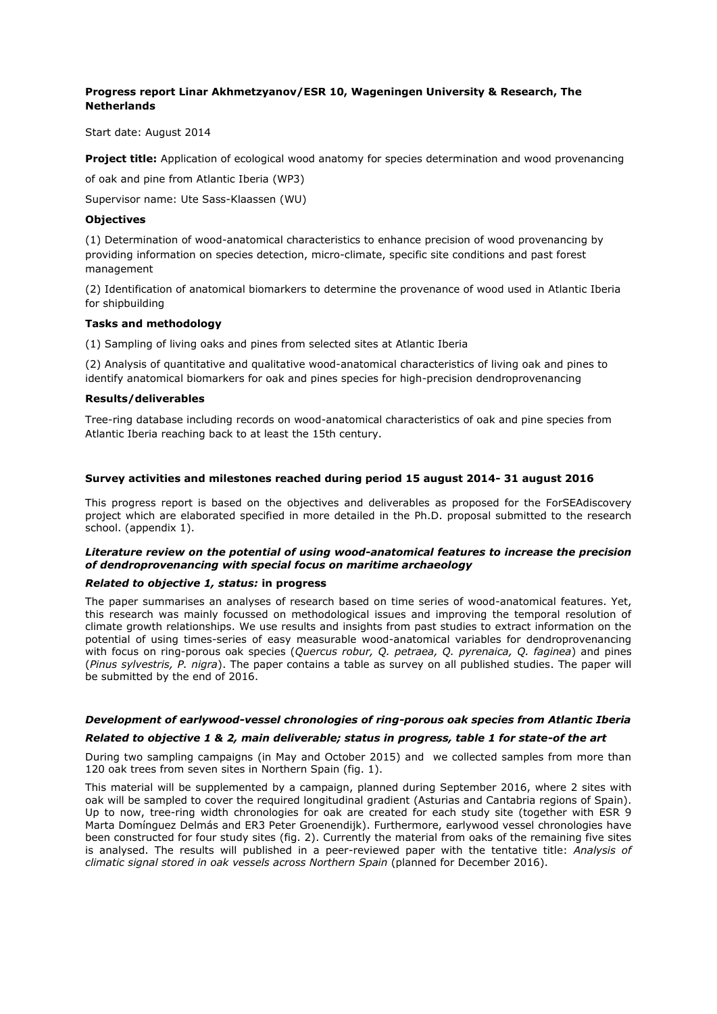# **Progress report Linar Akhmetzyanov/ESR 10, Wageningen University & Research, The Netherlands**

Start date: August 2014

**Project title:** Application of ecological wood anatomy for species determination and wood provenancing

of oak and pine from Atlantic Iberia (WP3)

Supervisor name: Ute Sass-Klaassen (WU)

### **Objectives**

(1) Determination of wood-anatomical characteristics to enhance precision of wood provenancing by providing information on species detection, micro-climate, specific site conditions and past forest management

(2) Identification of anatomical biomarkers to determine the provenance of wood used in Atlantic Iberia for shipbuilding

### **Tasks and methodology**

(1) Sampling of living oaks and pines from selected sites at Atlantic Iberia

(2) Analysis of quantitative and qualitative wood-anatomical characteristics of living oak and pines to identify anatomical biomarkers for oak and pines species for high-precision dendroprovenancing

### **Results/deliverables**

Tree-ring database including records on wood-anatomical characteristics of oak and pine species from Atlantic Iberia reaching back to at least the 15th century.

### **Survey activities and milestones reached during period 15 august 2014- 31 august 2016**

This progress report is based on the objectives and deliverables as proposed for the ForSEAdiscovery project which are elaborated specified in more detailed in the Ph.D. proposal submitted to the research school. (appendix 1).

# *Literature review on the potential of using wood-anatomical features to increase the precision of dendroprovenancing with special focus on maritime archaeology*

#### *Related to objective 1, status:* **in progress**

The paper summarises an analyses of research based on time series of wood-anatomical features. Yet, this research was mainly focussed on methodological issues and improving the temporal resolution of climate growth relationships. We use results and insights from past studies to extract information on the potential of using times-series of easy measurable wood-anatomical variables for dendroprovenancing with focus on ring-porous oak species (*Quercus robur, Q. petraea, Q. pyrenaica, Q. faginea*) and pines (*Pinus sylvestris, P. nigra*). The paper contains a table as survey on all published studies. The paper will be submitted by the end of 2016.

## *Development of earlywood-vessel chronologies of ring-porous oak species from Atlantic Iberia*

#### *Related to objective 1 & 2, main deliverable; status in progress, table 1 for state-of the art*

During two sampling campaigns (in May and October 2015) and we collected samples from more than 120 oak trees from seven sites in Northern Spain (fig. 1).

This material will be supplemented by a campaign, planned during September 2016, where 2 sites with oak will be sampled to cover the required longitudinal gradient (Asturias and Cantabria regions of Spain). Up to now, tree-ring width chronologies for oak are created for each study site (together with ESR 9 Marta Domínguez Delmás and ER3 Peter Groenendijk). Furthermore, earlywood vessel chronologies have been constructed for four study sites (fig. 2). Currently the material from oaks of the remaining five sites is analysed. The results will published in a peer-reviewed paper with the tentative title: *Analysis of climatic signal stored in oak vessels across Northern Spain* (planned for December 2016).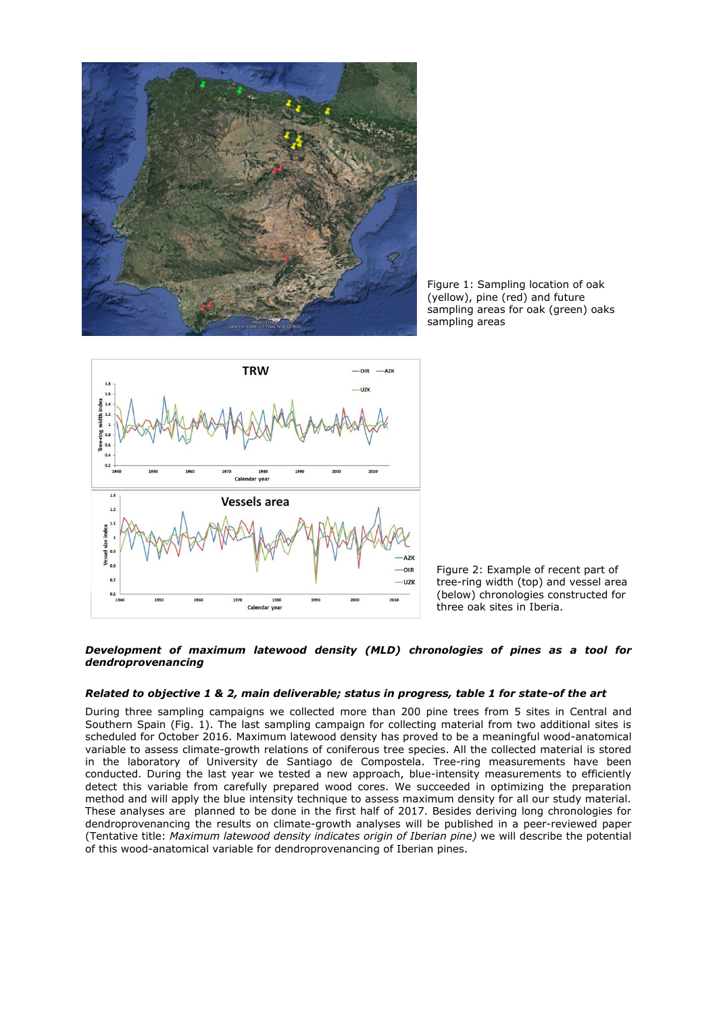

Figure 1: Sampling location of oak (yellow), pine (red) and future sampling areas for oak (green) oaks sampling areas



Figure 2: Example of recent part of tree-ring width (top) and vessel area (below) chronologies constructed for three oak sites in Iberia.

### *Development of maximum latewood density (MLD) chronologies of pines as a tool for dendroprovenancing*

## *Related to objective 1 & 2, main deliverable; status in progress, table 1 for state-of the art*

During three sampling campaigns we collected more than 200 pine trees from 5 sites in Central and Southern Spain (Fig. 1). The last sampling campaign for collecting material from two additional sites is scheduled for October 2016. Maximum latewood density has proved to be a meaningful wood-anatomical variable to assess climate-growth relations of coniferous tree species. All the collected material is stored in the laboratory of University de Santiago de Compostela. Tree-ring measurements have been conducted. During the last year we tested a new approach, blue-intensity measurements to efficiently detect this variable from carefully prepared wood cores. We succeeded in optimizing the preparation method and will apply the blue intensity technique to assess maximum density for all our study material. These analyses are planned to be done in the first half of 2017. Besides deriving long chronologies for dendroprovenancing the results on climate-growth analyses will be published in a peer-reviewed paper (Tentative title: *Maximum latewood density indicates origin of Iberian pine)* we will describe the potential of this wood-anatomical variable for dendroprovenancing of Iberian pines.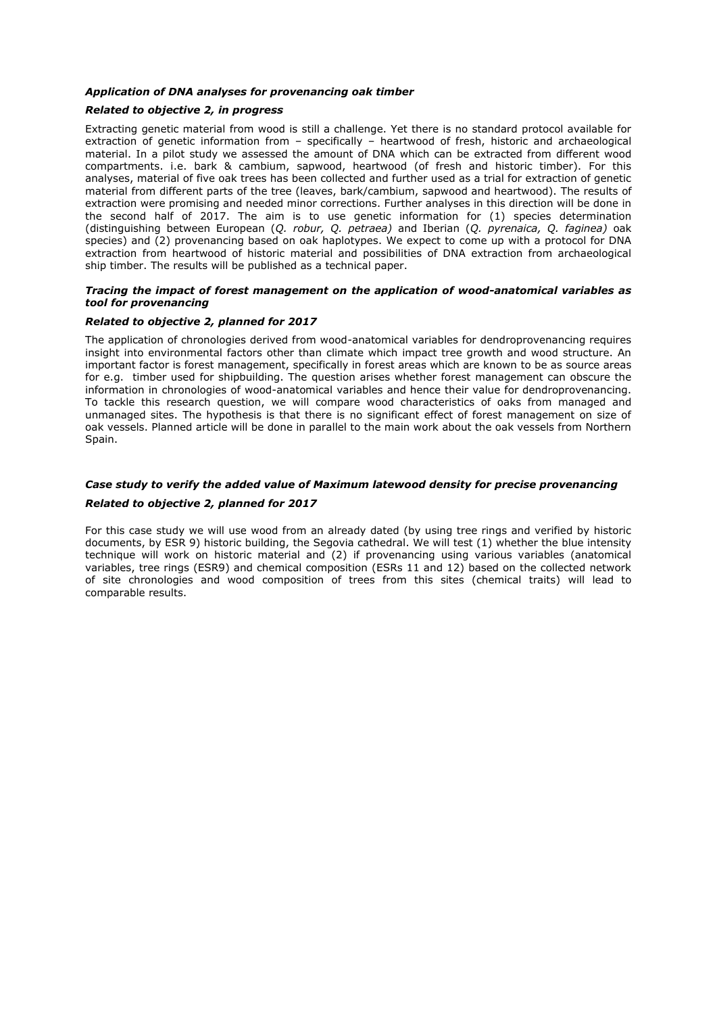### *Application of DNA analyses for provenancing oak timber*

## *Related to objective 2, in progress*

Extracting genetic material from wood is still a challenge. Yet there is no standard protocol available for extraction of genetic information from – specifically – heartwood of fresh, historic and archaeological material. In a pilot study we assessed the amount of DNA which can be extracted from different wood compartments. i.e. bark & cambium, sapwood, heartwood (of fresh and historic timber). For this analyses, material of five oak trees has been collected and further used as a trial for extraction of genetic material from different parts of the tree (leaves, bark/cambium, sapwood and heartwood). The results of extraction were promising and needed minor corrections. Further analyses in this direction will be done in the second half of 2017. The aim is to use genetic information for (1) species determination (distinguishing between European (*Q. robur, Q. petraea)* and Iberian (*Q. pyrenaica, Q. faginea)* oak species) and (2) provenancing based on oak haplotypes. We expect to come up with a protocol for DNA extraction from heartwood of historic material and possibilities of DNA extraction from archaeological ship timber. The results will be published as a technical paper.

### *Tracing the impact of forest management on the application of wood-anatomical variables as tool for provenancing*

### *Related to objective 2, planned for 2017*

The application of chronologies derived from wood-anatomical variables for dendroprovenancing requires insight into environmental factors other than climate which impact tree growth and wood structure. An important factor is forest management, specifically in forest areas which are known to be as source areas for e.g. timber used for shipbuilding. The question arises whether forest management can obscure the information in chronologies of wood-anatomical variables and hence their value for dendroprovenancing. To tackle this research question, we will compare wood characteristics of oaks from managed and unmanaged sites. The hypothesis is that there is no significant effect of forest management on size of oak vessels. Planned article will be done in parallel to the main work about the oak vessels from Northern Spain.

## *Case study to verify the added value of Maximum latewood density for precise provenancing*

## *Related to objective 2, planned for 2017*

For this case study we will use wood from an already dated (by using tree rings and verified by historic documents, by ESR 9) historic building, the Segovia cathedral. We will test (1) whether the blue intensity technique will work on historic material and (2) if provenancing using various variables (anatomical variables, tree rings (ESR9) and chemical composition (ESRs 11 and 12) based on the collected network of site chronologies and wood composition of trees from this sites (chemical traits) will lead to comparable results.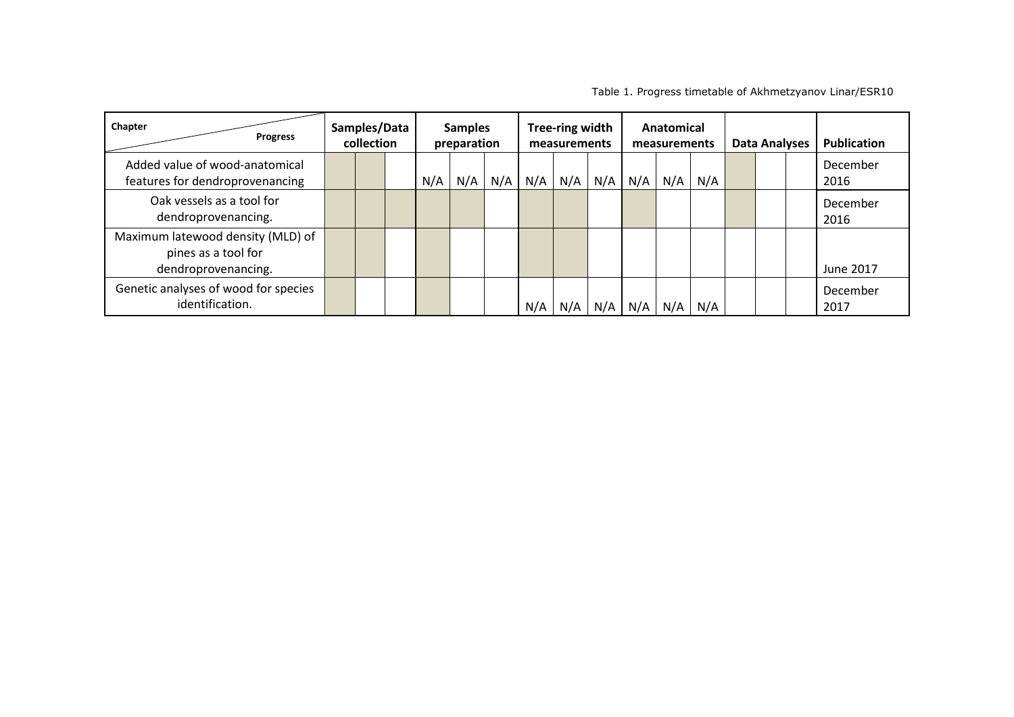| Chapter<br><b>Progress</b>                                                      | Samples/Data<br>collection |  | <b>Samples</b><br>preparation |     | Tree-ring width<br>measurements |     | Anatomical<br>measurements |     |     | <b>Data Analyses</b> |     | Publication |  |  |                  |
|---------------------------------------------------------------------------------|----------------------------|--|-------------------------------|-----|---------------------------------|-----|----------------------------|-----|-----|----------------------|-----|-------------|--|--|------------------|
| Added value of wood-anatomical<br>features for dendroprovenancing               |                            |  |                               | N/A | N/A                             | N/A | N/A                        | N/A | N/A | N/A                  | N/A | N/A         |  |  | December<br>2016 |
| Oak vessels as a tool for<br>dendroprovenancing.                                |                            |  |                               |     |                                 |     |                            |     |     |                      |     |             |  |  | December<br>2016 |
| Maximum latewood density (MLD) of<br>pines as a tool for<br>dendroprovenancing. |                            |  |                               |     |                                 |     |                            |     |     |                      |     |             |  |  | June 2017        |
| Genetic analyses of wood for species<br>identification.                         |                            |  |                               |     |                                 |     | N/A                        | N/A | N/A | N/A                  | N/A | N/A         |  |  | December<br>2017 |

Table 1. Progress timetable of Akhmetzyanov Linar/ESR10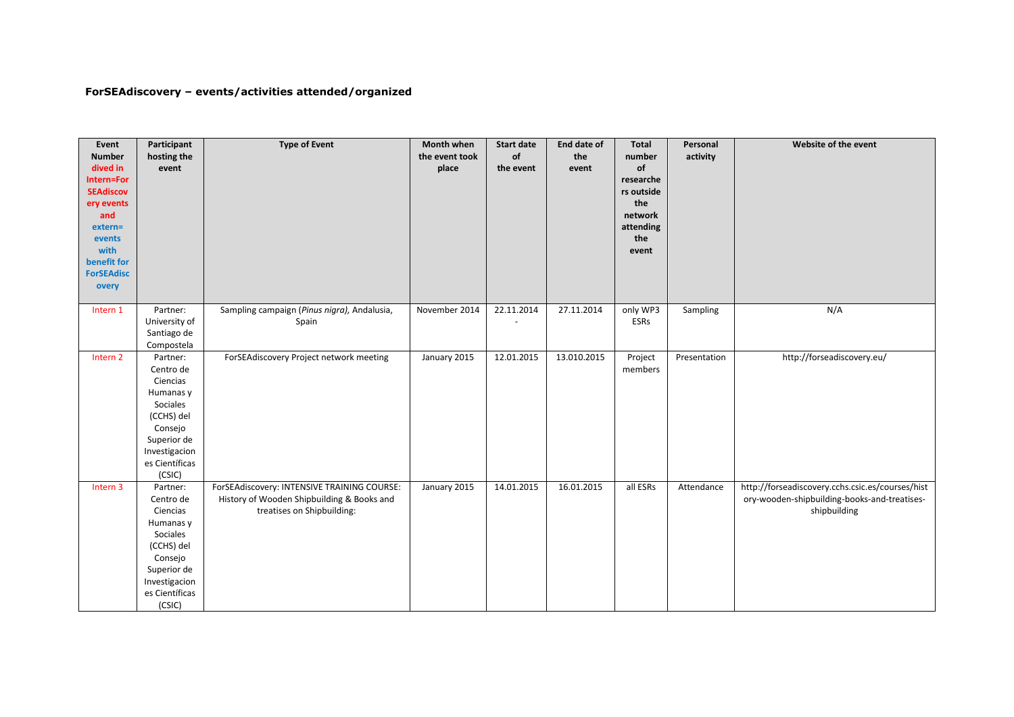# **ForSEAdiscovery – events/activities attended/organized**

| Event<br><b>Number</b><br>dived in<br>Intern=For<br><b>SEAdiscov</b><br>ery events | Participant<br>hosting the<br>event | <b>Type of Event</b>                        | Month when<br>the event took<br>place | <b>Start date</b><br>of<br>the event | End date of<br>the<br>event | Total<br>number<br>of<br>researche<br>rs outside<br>the | Personal<br>activity | Website of the event                             |
|------------------------------------------------------------------------------------|-------------------------------------|---------------------------------------------|---------------------------------------|--------------------------------------|-----------------------------|---------------------------------------------------------|----------------------|--------------------------------------------------|
| and                                                                                |                                     |                                             |                                       |                                      |                             | network<br>attending                                    |                      |                                                  |
| extern=<br>events                                                                  |                                     |                                             |                                       |                                      |                             | the                                                     |                      |                                                  |
| with                                                                               |                                     |                                             |                                       |                                      |                             | event                                                   |                      |                                                  |
| benefit for                                                                        |                                     |                                             |                                       |                                      |                             |                                                         |                      |                                                  |
| <b>ForSEAdisc</b>                                                                  |                                     |                                             |                                       |                                      |                             |                                                         |                      |                                                  |
| overy                                                                              |                                     |                                             |                                       |                                      |                             |                                                         |                      |                                                  |
| Intern 1                                                                           | Partner:                            | Sampling campaign (Pinus nigra), Andalusia, | November 2014                         | 22.11.2014                           | 27.11.2014                  | only WP3                                                | Sampling             | N/A                                              |
|                                                                                    | University of                       | Spain                                       |                                       |                                      |                             | ESRs                                                    |                      |                                                  |
|                                                                                    | Santiago de                         |                                             |                                       |                                      |                             |                                                         |                      |                                                  |
|                                                                                    | Compostela                          |                                             |                                       |                                      |                             |                                                         |                      |                                                  |
| Intern <sub>2</sub>                                                                | Partner:                            | ForSEAdiscovery Project network meeting     | January 2015                          | 12.01.2015                           | 13.010.2015                 | Project                                                 | Presentation         | http://forseadiscovery.eu/                       |
|                                                                                    | Centro de                           |                                             |                                       |                                      |                             | members                                                 |                      |                                                  |
|                                                                                    | Ciencias                            |                                             |                                       |                                      |                             |                                                         |                      |                                                  |
|                                                                                    | Humanas y<br>Sociales               |                                             |                                       |                                      |                             |                                                         |                      |                                                  |
|                                                                                    | (CCHS) del                          |                                             |                                       |                                      |                             |                                                         |                      |                                                  |
|                                                                                    | Consejo                             |                                             |                                       |                                      |                             |                                                         |                      |                                                  |
|                                                                                    | Superior de                         |                                             |                                       |                                      |                             |                                                         |                      |                                                  |
|                                                                                    | Investigacion                       |                                             |                                       |                                      |                             |                                                         |                      |                                                  |
|                                                                                    | es Científicas                      |                                             |                                       |                                      |                             |                                                         |                      |                                                  |
|                                                                                    | (CSIC)                              |                                             |                                       |                                      |                             |                                                         |                      |                                                  |
| Intern 3                                                                           | Partner:                            | ForSEAdiscovery: INTENSIVE TRAINING COURSE: | January 2015                          | 14.01.2015                           | 16.01.2015                  | all ESRs                                                | Attendance           | http://forseadiscovery.cchs.csic.es/courses/hist |
|                                                                                    | Centro de                           | History of Wooden Shipbuilding & Books and  |                                       |                                      |                             |                                                         |                      | ory-wooden-shipbuilding-books-and-treatises-     |
|                                                                                    | Ciencias                            | treatises on Shipbuilding:                  |                                       |                                      |                             |                                                         |                      | shipbuilding                                     |
|                                                                                    | Humanas y                           |                                             |                                       |                                      |                             |                                                         |                      |                                                  |
|                                                                                    | Sociales                            |                                             |                                       |                                      |                             |                                                         |                      |                                                  |
|                                                                                    | (CCHS) del                          |                                             |                                       |                                      |                             |                                                         |                      |                                                  |
|                                                                                    | Consejo                             |                                             |                                       |                                      |                             |                                                         |                      |                                                  |
|                                                                                    | Superior de                         |                                             |                                       |                                      |                             |                                                         |                      |                                                  |
|                                                                                    | Investigacion                       |                                             |                                       |                                      |                             |                                                         |                      |                                                  |
|                                                                                    | es Científicas                      |                                             |                                       |                                      |                             |                                                         |                      |                                                  |
|                                                                                    | (CSIC)                              |                                             |                                       |                                      |                             |                                                         |                      |                                                  |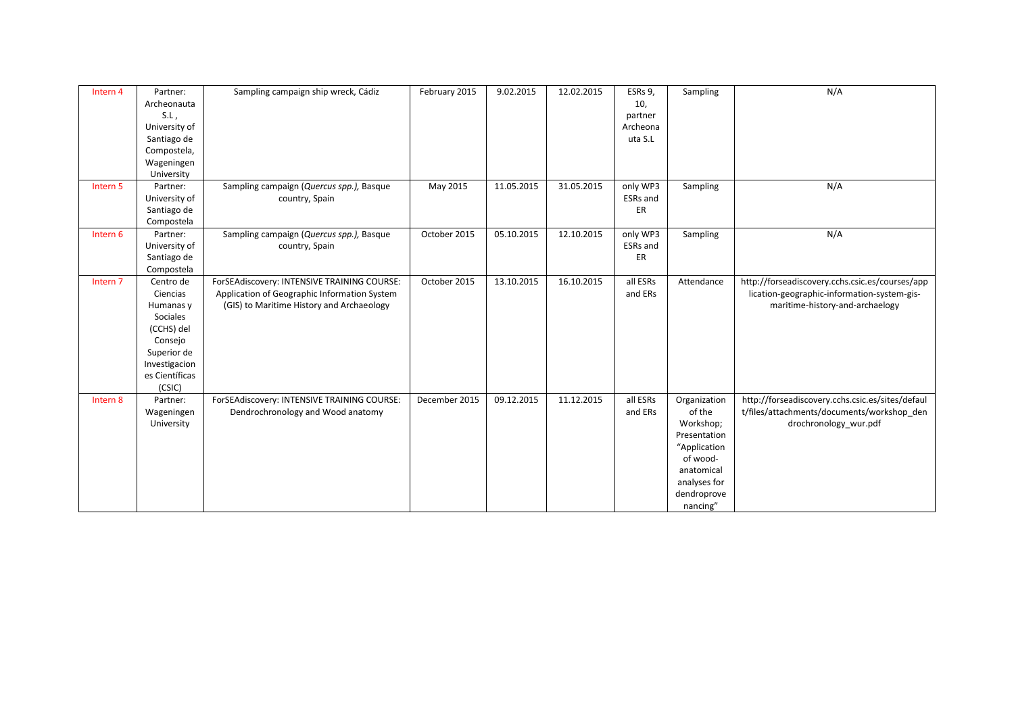| Intern 4            | Partner:<br>Archeonauta<br>$S.L$ ,<br>University of<br>Santiago de<br>Compostela,<br>Wageningen<br>University                       | Sampling campaign ship wreck, Cádiz                                                                                                      | February 2015 | 9.02.2015  | 12.02.2015 | ESRs 9,<br>10,<br>partner<br>Archeona<br>uta S.L | Sampling                                                                                                                                 | N/A                                                                                                                               |
|---------------------|-------------------------------------------------------------------------------------------------------------------------------------|------------------------------------------------------------------------------------------------------------------------------------------|---------------|------------|------------|--------------------------------------------------|------------------------------------------------------------------------------------------------------------------------------------------|-----------------------------------------------------------------------------------------------------------------------------------|
| Intern <sub>5</sub> | Partner:<br>University of<br>Santiago de<br>Compostela                                                                              | Sampling campaign (Quercus spp.), Basque<br>country, Spain                                                                               | May 2015      | 11.05.2015 | 31.05.2015 | only WP3<br><b>ESRs</b> and<br>ER                | Sampling                                                                                                                                 | N/A                                                                                                                               |
| Intern 6            | Partner:<br>University of<br>Santiago de<br>Compostela                                                                              | Sampling campaign (Quercus spp.), Basque<br>country, Spain                                                                               | October 2015  | 05.10.2015 | 12.10.2015 | only WP3<br>ESRs and<br>ER                       | Sampling                                                                                                                                 | N/A                                                                                                                               |
| Intern <sub>7</sub> | Centro de<br>Ciencias<br>Humanas y<br>Sociales<br>(CCHS) del<br>Consejo<br>Superior de<br>Investigacion<br>es Científicas<br>(CSIC) | ForSEAdiscovery: INTENSIVE TRAINING COURSE:<br>Application of Geographic Information System<br>(GIS) to Maritime History and Archaeology | October 2015  | 13.10.2015 | 16.10.2015 | all ESRs<br>and ERs                              | Attendance                                                                                                                               | http://forseadiscovery.cchs.csic.es/courses/app<br>lication-geographic-information-system-gis-<br>maritime-history-and-archaelogy |
| Intern 8            | Partner:<br>Wageningen<br>University                                                                                                | ForSEAdiscovery: INTENSIVE TRAINING COURSE:<br>Dendrochronology and Wood anatomy                                                         | December 2015 | 09.12.2015 | 11.12.2015 | all ESRs<br>and ERs                              | Organization<br>of the<br>Workshop;<br>Presentation<br>"Application<br>of wood-<br>anatomical<br>analyses for<br>dendroprove<br>nancing" | http://forseadiscovery.cchs.csic.es/sites/defaul<br>t/files/attachments/documents/workshop den<br>drochronology wur.pdf           |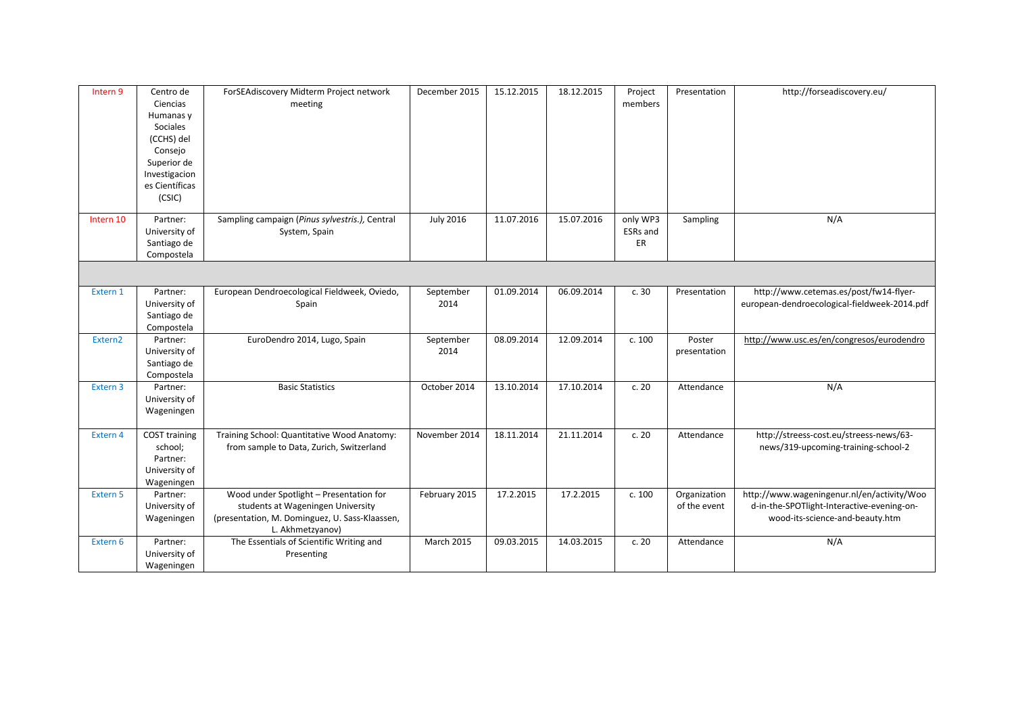| Intern 9             | Centro de<br>Ciencias<br>Humanas y<br>Sociales<br>(CCHS) del<br>Consejo<br>Superior de<br>Investigacion<br>es Científicas<br>(CSIC) | ForSEAdiscovery Midterm Project network<br>meeting                                                                                                 | December 2015     | 15.12.2015 | 18.12.2015 | Project<br>members         | Presentation                 | http://forseadiscovery.eu/                                                                                                  |
|----------------------|-------------------------------------------------------------------------------------------------------------------------------------|----------------------------------------------------------------------------------------------------------------------------------------------------|-------------------|------------|------------|----------------------------|------------------------------|-----------------------------------------------------------------------------------------------------------------------------|
| Intern <sub>10</sub> | Partner:<br>University of<br>Santiago de<br>Compostela                                                                              | Sampling campaign (Pinus sylvestris.), Central<br>System, Spain                                                                                    | <b>July 2016</b>  | 11.07.2016 | 15.07.2016 | only WP3<br>ESRs and<br>ER | Sampling                     | N/A                                                                                                                         |
|                      |                                                                                                                                     |                                                                                                                                                    |                   |            |            |                            |                              |                                                                                                                             |
| Extern 1             | Partner:<br>University of<br>Santiago de<br>Compostela                                                                              | European Dendroecological Fieldweek, Oviedo,<br>Spain                                                                                              | September<br>2014 | 01.09.2014 | 06.09.2014 | c.30                       | Presentation                 | http://www.cetemas.es/post/fw14-flyer-<br>european-dendroecological-fieldweek-2014.pdf                                      |
| Extern2              | Partner:<br>University of<br>Santiago de<br>Compostela                                                                              | EuroDendro 2014, Lugo, Spain                                                                                                                       | September<br>2014 | 08.09.2014 | 12.09.2014 | c. 100                     | Poster<br>presentation       | http://www.usc.es/en/congresos/eurodendro                                                                                   |
| Extern 3             | Partner:<br>University of<br>Wageningen                                                                                             | <b>Basic Statistics</b>                                                                                                                            | October 2014      | 13.10.2014 | 17.10.2014 | c.20                       | Attendance                   | N/A                                                                                                                         |
| Extern 4             | <b>COST training</b><br>school;<br>Partner:<br>University of<br>Wageningen                                                          | Training School: Quantitative Wood Anatomy:<br>from sample to Data, Zurich, Switzerland                                                            | November 2014     | 18.11.2014 | 21.11.2014 | c.20                       | Attendance                   | http://streess-cost.eu/streess-news/63-<br>news/319-upcoming-training-school-2                                              |
| Extern 5             | Partner:<br>University of<br>Wageningen                                                                                             | Wood under Spotlight - Presentation for<br>students at Wageningen University<br>(presentation, M. Dominguez, U. Sass-Klaassen,<br>L. Akhmetzyanov) | February 2015     | 17.2.2015  | 17.2.2015  | c. 100                     | Organization<br>of the event | http://www.wageningenur.nl/en/activity/Woo<br>d-in-the-SPOTlight-Interactive-evening-on-<br>wood-its-science-and-beauty.htm |
| Extern 6             | Partner:<br>University of<br>Wageningen                                                                                             | The Essentials of Scientific Writing and<br>Presenting                                                                                             | <b>March 2015</b> | 09.03.2015 | 14.03.2015 | c.20                       | Attendance                   | N/A                                                                                                                         |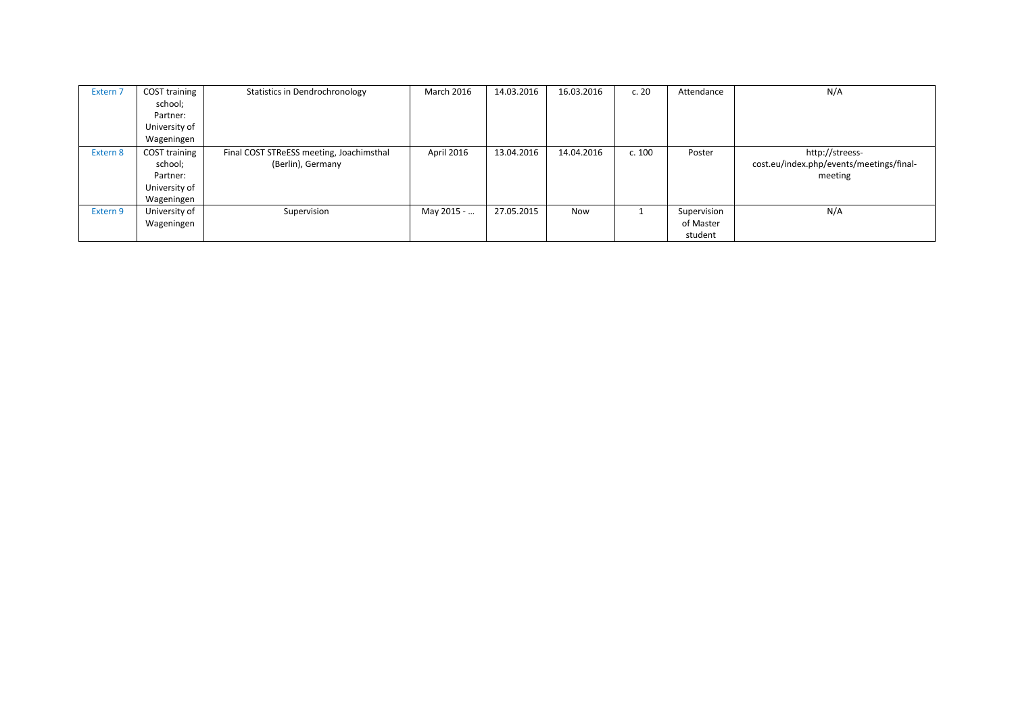| Extern <sub>7</sub> | COST training<br>school;<br>Partner:<br>University of               | Statistics in Dendrochronology                                | March 2016 | 14.03.2016 | 16.03.2016 | c.20   | Attendance                          | N/A                                                                    |
|---------------------|---------------------------------------------------------------------|---------------------------------------------------------------|------------|------------|------------|--------|-------------------------------------|------------------------------------------------------------------------|
|                     | Wageningen                                                          |                                                               |            |            |            |        |                                     |                                                                        |
| Extern 8            | COST training<br>school;<br>Partner:<br>University of<br>Wageningen | Final COST STReESS meeting, Joachimsthal<br>(Berlin), Germany | April 2016 | 13.04.2016 | 14.04.2016 | c. 100 | Poster                              | http://streess-<br>cost.eu/index.php/events/meetings/final-<br>meeting |
| Extern 9            | University of<br>Wageningen                                         | Supervision                                                   | May 2015 - | 27.05.2015 | <b>Now</b> |        | Supervision<br>of Master<br>student | N/A                                                                    |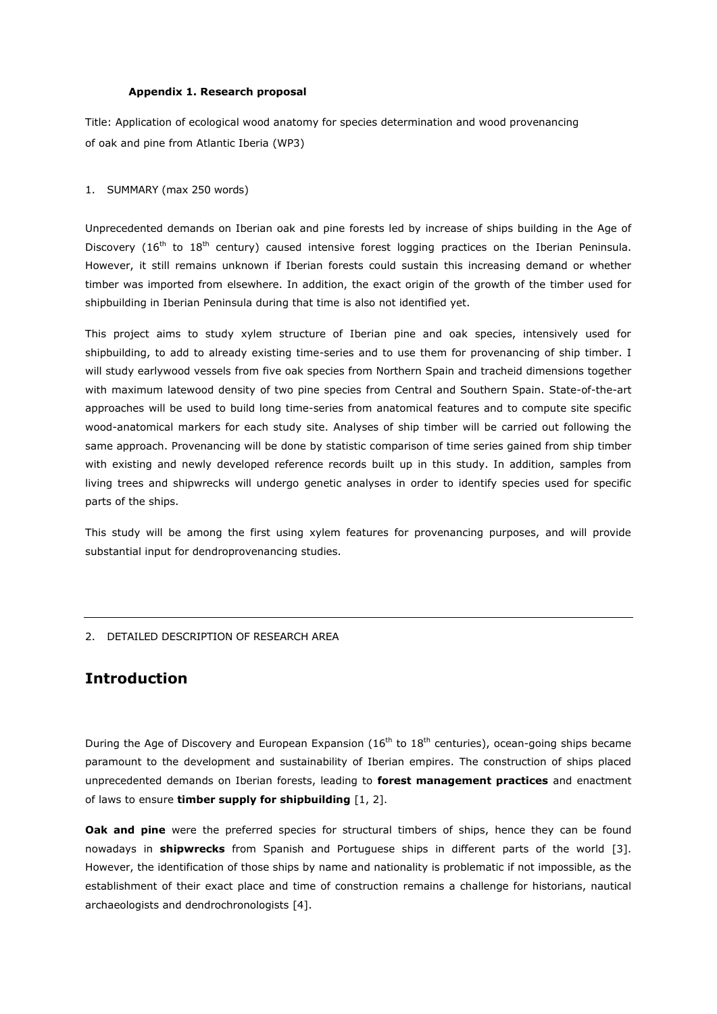### **Appendix 1. Research proposal**

Title: Application of ecological wood anatomy for species determination and wood provenancing of oak and pine from Atlantic Iberia (WP3)

### 1. SUMMARY (max 250 words)

Unprecedented demands on Iberian oak and pine forests led by increase of ships building in the Age of Discovery (16<sup>th</sup> to 18<sup>th</sup> century) caused intensive forest logging practices on the Iberian Peninsula. However, it still remains unknown if Iberian forests could sustain this increasing demand or whether timber was imported from elsewhere. In addition, the exact origin of the growth of the timber used for shipbuilding in Iberian Peninsula during that time is also not identified yet.

This project aims to study xylem structure of Iberian pine and oak species, intensively used for shipbuilding, to add to already existing time-series and to use them for provenancing of ship timber. I will study earlywood vessels from five oak species from Northern Spain and tracheid dimensions together with maximum latewood density of two pine species from Central and Southern Spain. State-of-the-art approaches will be used to build long time-series from anatomical features and to compute site specific wood-anatomical markers for each study site. Analyses of ship timber will be carried out following the same approach. Provenancing will be done by statistic comparison of time series gained from ship timber with existing and newly developed reference records built up in this study. In addition, samples from living trees and shipwrecks will undergo genetic analyses in order to identify species used for specific parts of the ships.

This study will be among the first using xylem features for provenancing purposes, and will provide substantial input for dendroprovenancing studies.

### 2. DETAILED DESCRIPTION OF RESEARCH AREA

# **Introduction**

During the Age of Discovery and European Expansion ( $16<sup>th</sup>$  to  $18<sup>th</sup>$  centuries), ocean-going ships became paramount to the development and sustainability of Iberian empires. The construction of ships placed unprecedented demands on Iberian forests, leading to **forest management practices** and enactment of laws to ensure **timber supply for shipbuilding** [1, 2].

**Oak and pine** were the preferred species for structural timbers of ships, hence they can be found nowadays in **shipwrecks** from Spanish and Portuguese ships in different parts of the world [3]. However, the identification of those ships by name and nationality is problematic if not impossible, as the establishment of their exact place and time of construction remains a challenge for historians, nautical archaeologists and dendrochronologists [4].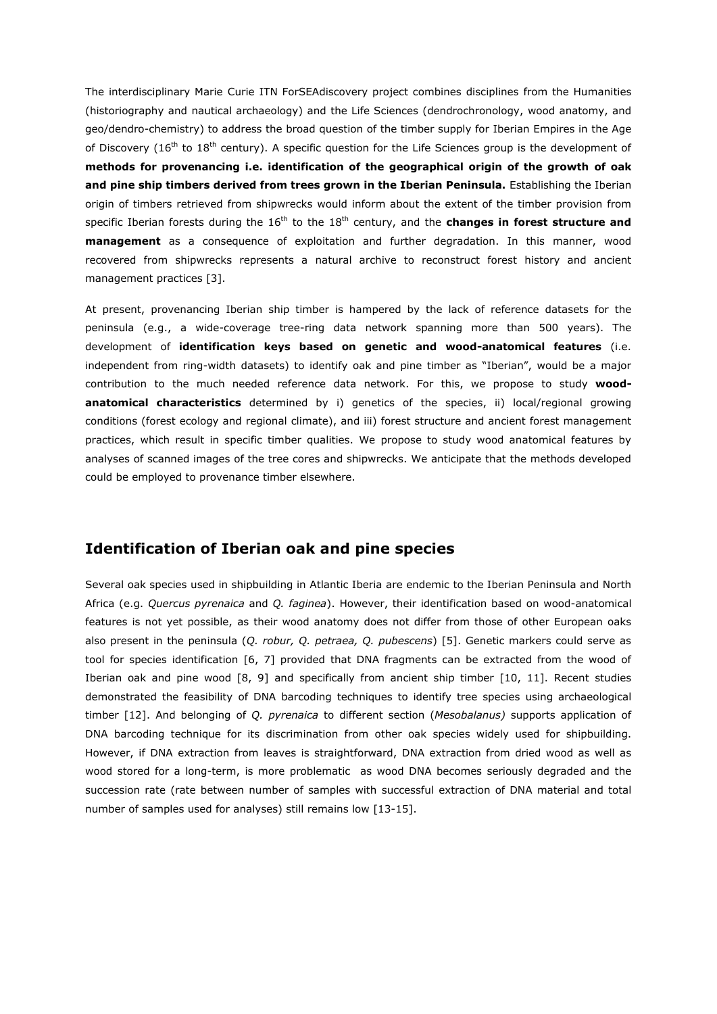The interdisciplinary Marie Curie ITN ForSEAdiscovery project combines disciplines from the Humanities (historiography and nautical archaeology) and the Life Sciences (dendrochronology, wood anatomy, and geo/dendro-chemistry) to address the broad question of the timber supply for Iberian Empires in the Age of Discovery ( $16<sup>th</sup>$  to  $18<sup>th</sup>$  century). A specific question for the Life Sciences group is the development of **methods for provenancing i.e. identification of the geographical origin of the growth of oak and pine ship timbers derived from trees grown in the Iberian Peninsula.** Establishing the Iberian origin of timbers retrieved from shipwrecks would inform about the extent of the timber provision from specific Iberian forests during the 16<sup>th</sup> to the 18<sup>th</sup> century, and the **changes in forest structure and management** as a consequence of exploitation and further degradation. In this manner, wood recovered from shipwrecks represents a natural archive to reconstruct forest history and ancient management practices [3].

At present, provenancing Iberian ship timber is hampered by the lack of reference datasets for the peninsula (e.g., a wide-coverage tree-ring data network spanning more than 500 years). The development of **identification keys based on genetic and wood-anatomical features** (i.e. independent from ring-width datasets) to identify oak and pine timber as "Iberian", would be a major contribution to the much needed reference data network. For this, we propose to study **woodanatomical characteristics** determined by i) genetics of the species, ii) local/regional growing conditions (forest ecology and regional climate), and iii) forest structure and ancient forest management practices, which result in specific timber qualities. We propose to study wood anatomical features by analyses of scanned images of the tree cores and shipwrecks. We anticipate that the methods developed could be employed to provenance timber elsewhere.

# **Identification of Iberian oak and pine species**

Several oak species used in shipbuilding in Atlantic Iberia are endemic to the Iberian Peninsula and North Africa (e.g. *Quercus pyrenaica* and *Q. faginea*). However, their identification based on wood-anatomical features is not yet possible, as their wood anatomy does not differ from those of other European oaks also present in the peninsula (*Q. robur, Q. petraea, Q. pubescens*) [5]. Genetic markers could serve as tool for species identification [6, 7] provided that DNA fragments can be extracted from the wood of Iberian oak and pine wood [8, 9] and specifically from ancient ship timber [10, 11]. Recent studies demonstrated the feasibility of DNA barcoding techniques to identify tree species using archaeological timber [12]. And belonging of *Q. pyrenaica* to different section (*Mesobalanus)* supports application of DNA barcoding technique for its discrimination from other oak species widely used for shipbuilding. However, if DNA extraction from leaves is straightforward, DNA extraction from dried wood as well as wood stored for a long-term, is more problematic as wood DNA becomes seriously degraded and the succession rate (rate between number of samples with successful extraction of DNA material and total number of samples used for analyses) still remains low [13-15].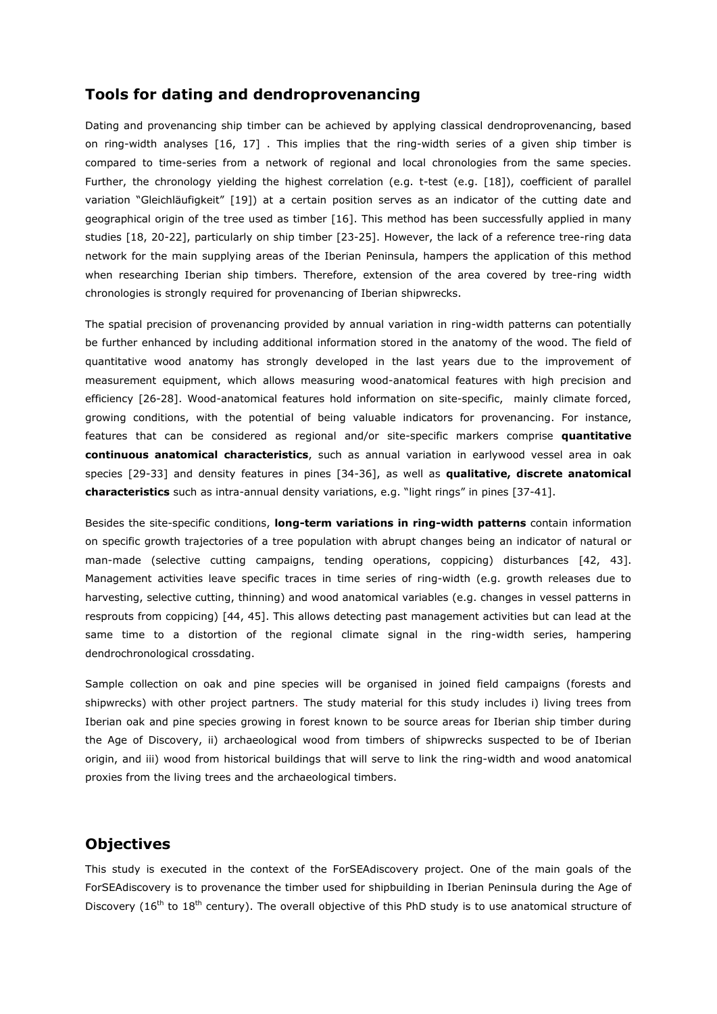# **Tools for dating and dendroprovenancing**

Dating and provenancing ship timber can be achieved by applying classical dendroprovenancing, based on ring-width analyses [16, 17] . This implies that the ring-width series of a given ship timber is compared to time-series from a network of regional and local chronologies from the same species. Further, the chronology yielding the highest correlation (e.g. t-test (e.g. [18]), coefficient of parallel variation "Gleichläufigkeit" [19]) at a certain position serves as an indicator of the cutting date and geographical origin of the tree used as timber [16]. This method has been successfully applied in many studies [18, 20-22], particularly on ship timber [23-25]. However, the lack of a reference tree-ring data network for the main supplying areas of the Iberian Peninsula, hampers the application of this method when researching Iberian ship timbers. Therefore, extension of the area covered by tree-ring width chronologies is strongly required for provenancing of Iberian shipwrecks.

The spatial precision of provenancing provided by annual variation in ring-width patterns can potentially be further enhanced by including additional information stored in the anatomy of the wood. The field of quantitative wood anatomy has strongly developed in the last years due to the improvement of measurement equipment, which allows measuring wood-anatomical features with high precision and efficiency [26-28]. Wood-anatomical features hold information on site-specific, mainly climate forced, growing conditions, with the potential of being valuable indicators for provenancing. For instance, features that can be considered as regional and/or site-specific markers comprise **quantitative continuous anatomical characteristics**, such as annual variation in earlywood vessel area in oak species [29-33] and density features in pines [34-36], as well as **qualitative, discrete anatomical characteristics** such as intra-annual density variations, e.g. "light rings" in pines [37-41].

Besides the site-specific conditions, **long-term variations in ring-width patterns** contain information on specific growth trajectories of a tree population with abrupt changes being an indicator of natural or man-made (selective cutting campaigns, tending operations, coppicing) disturbances [42, 43]. Management activities leave specific traces in time series of ring-width (e.g. growth releases due to harvesting, selective cutting, thinning) and wood anatomical variables (e.g. changes in vessel patterns in resprouts from coppicing) [44, 45]. This allows detecting past management activities but can lead at the same time to a distortion of the regional climate signal in the ring-width series, hampering dendrochronological crossdating.

Sample collection on oak and pine species will be organised in joined field campaigns (forests and shipwrecks) with other project partners. The study material for this study includes i) living trees from Iberian oak and pine species growing in forest known to be source areas for Iberian ship timber during the Age of Discovery, ii) archaeological wood from timbers of shipwrecks suspected to be of Iberian origin, and iii) wood from historical buildings that will serve to link the ring-width and wood anatomical proxies from the living trees and the archaeological timbers.

# **Objectives**

This study is executed in the context of the ForSEAdiscovery project. One of the main goals of the ForSEAdiscovery is to provenance the timber used for shipbuilding in Iberian Peninsula during the Age of Discovery ( $16<sup>th</sup>$  to  $18<sup>th</sup>$  century). The overall objective of this PhD study is to use anatomical structure of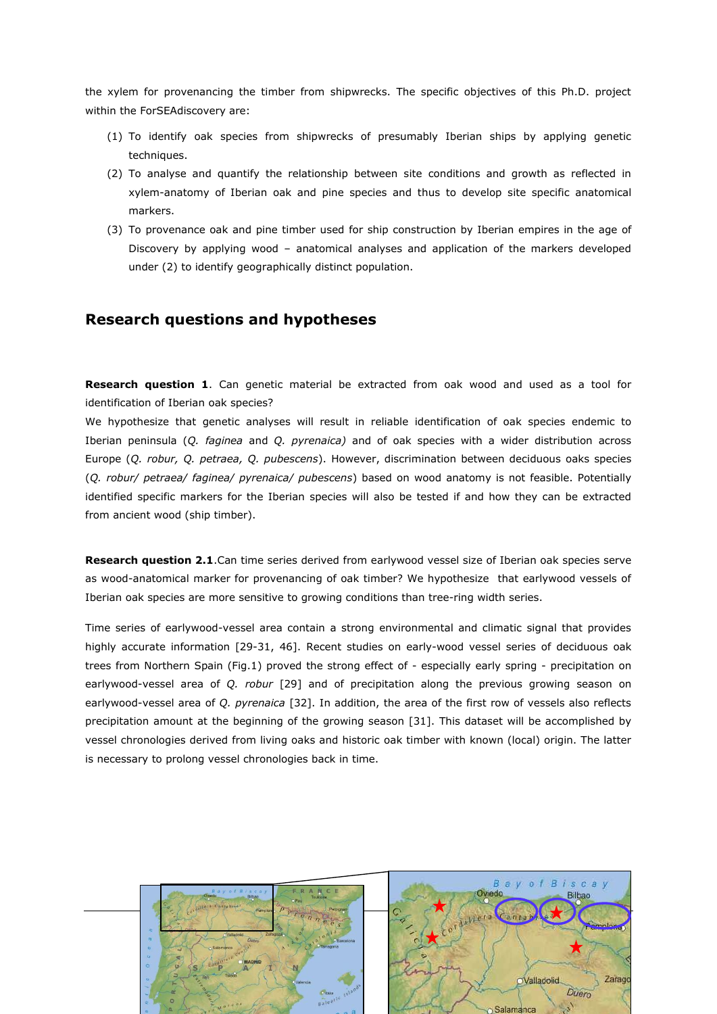the xylem for provenancing the timber from shipwrecks. The specific objectives of this Ph.D. project within the ForSEAdiscovery are:

- (1) To identify oak species from shipwrecks of presumably Iberian ships by applying genetic techniques.
- (2) To analyse and quantify the relationship between site conditions and growth as reflected in xylem-anatomy of Iberian oak and pine species and thus to develop site specific anatomical markers.
- (3) To provenance oak and pine timber used for ship construction by Iberian empires in the age of Discovery by applying wood – anatomical analyses and application of the markers developed under (2) to identify geographically distinct population.

# **Research questions and hypotheses**

**Research question 1**. Can genetic material be extracted from oak wood and used as a tool for identification of Iberian oak species?

We hypothesize that genetic analyses will result in reliable identification of oak species endemic to Iberian peninsula (*Q. faginea* and *Q. pyrenaica)* and of oak species with a wider distribution across Europe (*Q. robur, Q. petraea, Q. pubescens*). However, discrimination between deciduous oaks species (*Q. robur/ petraea/ faginea/ pyrenaica/ pubescens*) based on wood anatomy is not feasible. Potentially identified specific markers for the Iberian species will also be tested if and how they can be extracted from ancient wood (ship timber).

**Research question 2.1**.Can time series derived from earlywood vessel size of Iberian oak species serve as wood-anatomical marker for provenancing of oak timber? We hypothesize that earlywood vessels of Iberian oak species are more sensitive to growing conditions than tree-ring width series.

Time series of earlywood-vessel area contain a strong environmental and climatic signal that provides highly accurate information [29-31, 46]. Recent studies on early-wood vessel series of deciduous oak trees from Northern Spain (Fig.1) proved the strong effect of - especially early spring - precipitation on earlywood-vessel area of *Q. robur* [29] and of precipitation along the previous growing season on earlywood-vessel area of *Q. pyrenaica* [32]. In addition, the area of the first row of vessels also reflects precipitation amount at the beginning of the growing season [31]. This dataset will be accomplished by vessel chronologies derived from living oaks and historic oak timber with known (local) origin. The latter is necessary to prolong vessel chronologies back in time.

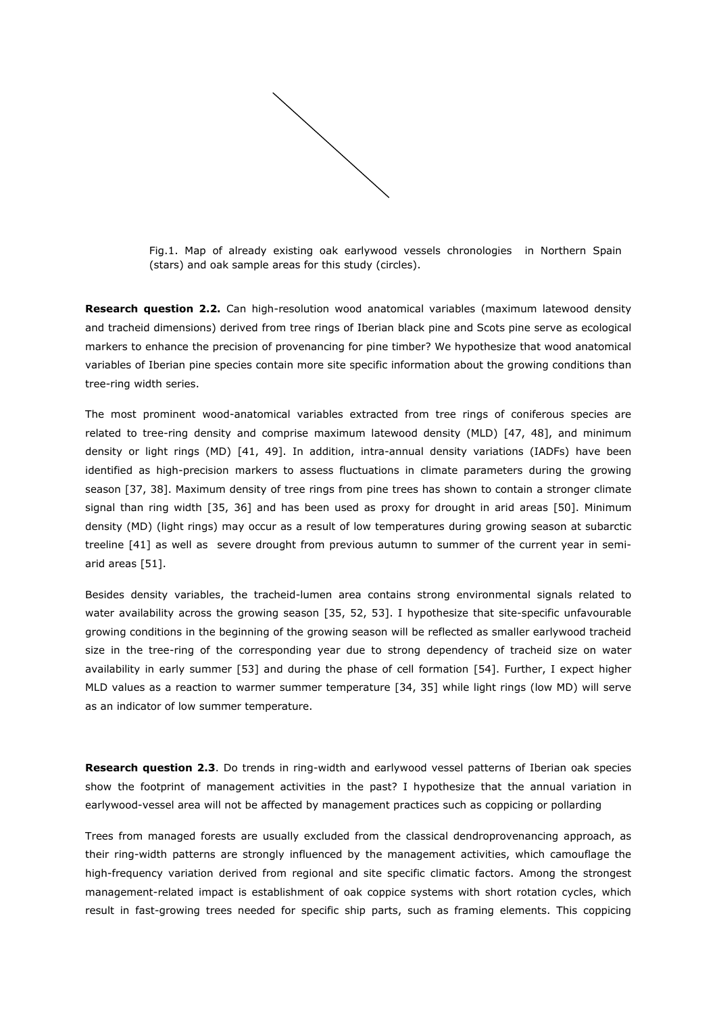

Fig.1. Map of already existing oak earlywood vessels chronologies in Northern Spain (stars) and oak sample areas for this study (circles).

**Research question 2.2.** Can high-resolution wood anatomical variables (maximum latewood density and tracheid dimensions) derived from tree rings of Iberian black pine and Scots pine serve as ecological markers to enhance the precision of provenancing for pine timber? We hypothesize that wood anatomical variables of Iberian pine species contain more site specific information about the growing conditions than tree-ring width series.

The most prominent wood-anatomical variables extracted from tree rings of coniferous species are related to tree-ring density and comprise maximum latewood density (MLD) [47, 48], and minimum density or light rings (MD) [41, 49]. In addition, intra-annual density variations (IADFs) have been identified as high-precision markers to assess fluctuations in climate parameters during the growing season [37, 38]. Maximum density of tree rings from pine trees has shown to contain a stronger climate signal than ring width [35, 36] and has been used as proxy for drought in arid areas [50]. Minimum density (MD) (light rings) may occur as a result of low temperatures during growing season at subarctic treeline [41] as well as severe drought from previous autumn to summer of the current year in semiarid areas [51].

Besides density variables, the tracheid-lumen area contains strong environmental signals related to water availability across the growing season [35, 52, 53]. I hypothesize that site-specific unfavourable growing conditions in the beginning of the growing season will be reflected as smaller earlywood tracheid size in the tree-ring of the corresponding year due to strong dependency of tracheid size on water availability in early summer [53] and during the phase of cell formation [54]. Further, I expect higher MLD values as a reaction to warmer summer temperature [34, 35] while light rings (low MD) will serve as an indicator of low summer temperature.

**Research question 2.3**. Do trends in ring-width and earlywood vessel patterns of Iberian oak species show the footprint of management activities in the past? I hypothesize that the annual variation in earlywood-vessel area will not be affected by management practices such as coppicing or pollarding

Trees from managed forests are usually excluded from the classical dendroprovenancing approach, as their ring-width patterns are strongly influenced by the management activities, which camouflage the high-frequency variation derived from regional and site specific climatic factors. Among the strongest management-related impact is establishment of oak coppice systems with short rotation cycles, which result in fast-growing trees needed for specific ship parts, such as framing elements. This coppicing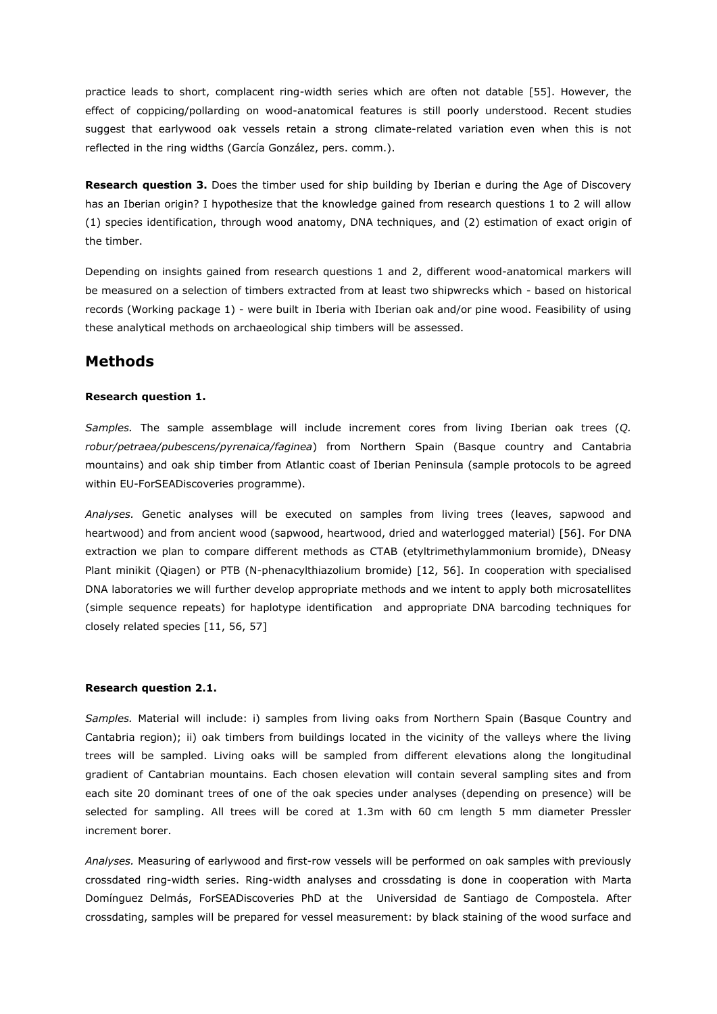practice leads to short, complacent ring-width series which are often not datable [55]. However, the effect of coppicing/pollarding on wood-anatomical features is still poorly understood. Recent studies suggest that earlywood oak vessels retain a strong climate-related variation even when this is not reflected in the ring widths (García González, pers. comm.).

**Research question 3.** Does the timber used for ship building by Iberian e during the Age of Discovery has an Iberian origin? I hypothesize that the knowledge gained from research questions 1 to 2 will allow (1) species identification, through wood anatomy, DNA techniques, and (2) estimation of exact origin of the timber.

Depending on insights gained from research questions 1 and 2, different wood-anatomical markers will be measured on a selection of timbers extracted from at least two shipwrecks which - based on historical records (Working package 1) - were built in Iberia with Iberian oak and/or pine wood. Feasibility of using these analytical methods on archaeological ship timbers will be assessed.

# **Methods**

# **Research question 1.**

*Samples.* The sample assemblage will include increment cores from living Iberian oak trees (*Q. robur/petraea/pubescens/pyrenaica/faginea*) from Northern Spain (Basque country and Cantabria mountains) and oak ship timber from Atlantic coast of Iberian Peninsula (sample protocols to be agreed within EU-ForSEADiscoveries programme).

*Analyses.* Genetic analyses will be executed on samples from living trees (leaves, sapwood and heartwood) and from ancient wood (sapwood, heartwood, dried and waterlogged material) [56]. For DNA extraction we plan to compare different methods as CTAB (etyltrimethylammonium bromide), DNeasy Plant minikit (Qiagen) or PTB (N-phenacylthiazolium bromide) [12, 56]. In cooperation with specialised DNA laboratories we will further develop appropriate methods and we intent to apply both microsatellites (simple sequence repeats) for haplotype identification and appropriate DNA barcoding techniques for closely related species [11, 56, 57]

### **Research question 2.1.**

*Samples.* Material will include: i) samples from living oaks from Northern Spain (Basque Country and Cantabria region); ii) oak timbers from buildings located in the vicinity of the valleys where the living trees will be sampled. Living oaks will be sampled from different elevations along the longitudinal gradient of Cantabrian mountains. Each chosen elevation will contain several sampling sites and from each site 20 dominant trees of one of the oak species under analyses (depending on presence) will be selected for sampling. All trees will be cored at 1.3m with 60 cm length 5 mm diameter Pressler increment borer.

*Analyses.* Measuring of earlywood and first-row vessels will be performed on oak samples with previously crossdated ring-width series. Ring-width analyses and crossdating is done in cooperation with Marta Domínguez Delmás, ForSEADiscoveries PhD at the Universidad de Santiago de Compostela. After crossdating, samples will be prepared for vessel measurement: by black staining of the wood surface and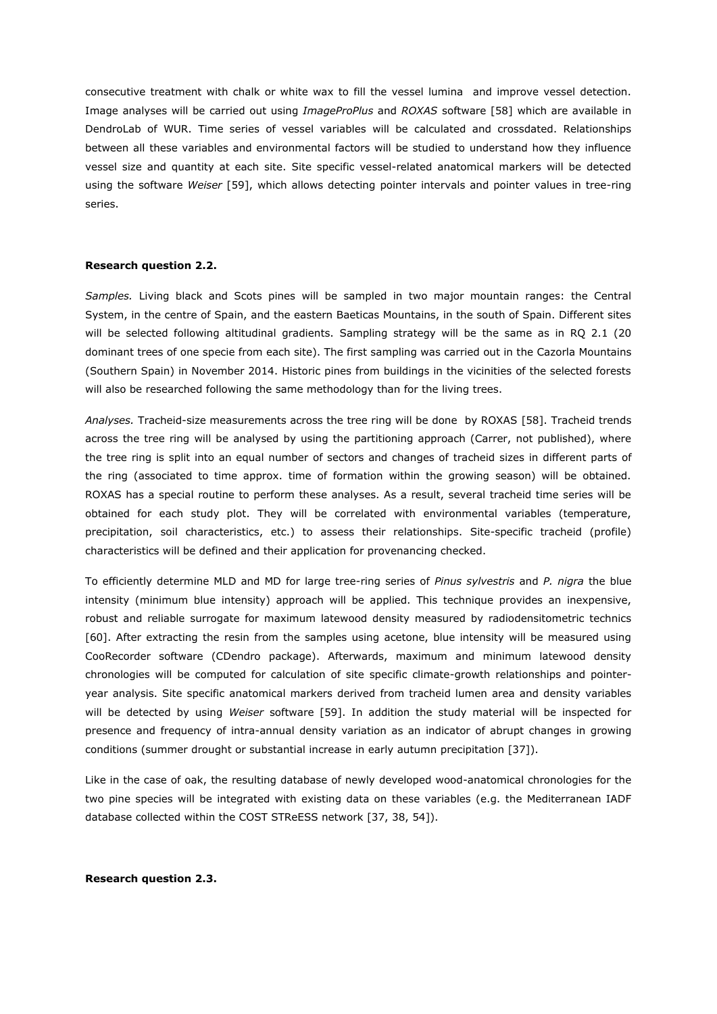consecutive treatment with chalk or white wax to fill the vessel lumina and improve vessel detection. Image analyses will be carried out using *ImageProPlus* and *ROXAS* software [58] which are available in DendroLab of WUR. Time series of vessel variables will be calculated and crossdated. Relationships between all these variables and environmental factors will be studied to understand how they influence vessel size and quantity at each site. Site specific vessel-related anatomical markers will be detected using the software *Weiser* [59], which allows detecting pointer intervals and pointer values in tree-ring series.

### **Research question 2.2.**

*Samples.* Living black and Scots pines will be sampled in two major mountain ranges: the Central System, in the centre of Spain, and the eastern Baeticas Mountains, in the south of Spain. Different sites will be selected following altitudinal gradients. Sampling strategy will be the same as in RQ 2.1 (20 dominant trees of one specie from each site). The first sampling was carried out in the Cazorla Mountains (Southern Spain) in November 2014. Historic pines from buildings in the vicinities of the selected forests will also be researched following the same methodology than for the living trees.

*Analyses.* Tracheid-size measurements across the tree ring will be done by ROXAS [58]. Tracheid trends across the tree ring will be analysed by using the partitioning approach (Carrer, not published), where the tree ring is split into an equal number of sectors and changes of tracheid sizes in different parts of the ring (associated to time approx. time of formation within the growing season) will be obtained. ROXAS has a special routine to perform these analyses. As a result, several tracheid time series will be obtained for each study plot. They will be correlated with environmental variables (temperature, precipitation, soil characteristics, etc.) to assess their relationships. Site-specific tracheid (profile) characteristics will be defined and their application for provenancing checked.

To efficiently determine MLD and MD for large tree-ring series of *Pinus sylvestris* and *P. nigra* the blue intensity (minimum blue intensity) approach will be applied. This technique provides an inexpensive, robust and reliable surrogate for maximum latewood density measured by radiodensitometric technics [60]. After extracting the resin from the samples using acetone, blue intensity will be measured using CooRecorder software (CDendro package). Afterwards, maximum and minimum latewood density chronologies will be computed for calculation of site specific climate-growth relationships and pointeryear analysis. Site specific anatomical markers derived from tracheid lumen area and density variables will be detected by using *Weiser* software [59]. In addition the study material will be inspected for presence and frequency of intra-annual density variation as an indicator of abrupt changes in growing conditions (summer drought or substantial increase in early autumn precipitation [37]).

Like in the case of oak, the resulting database of newly developed wood-anatomical chronologies for the two pine species will be integrated with existing data on these variables (e.g. the Mediterranean IADF database collected within the COST STReESS network [37, 38, 54]).

### **Research question 2.3.**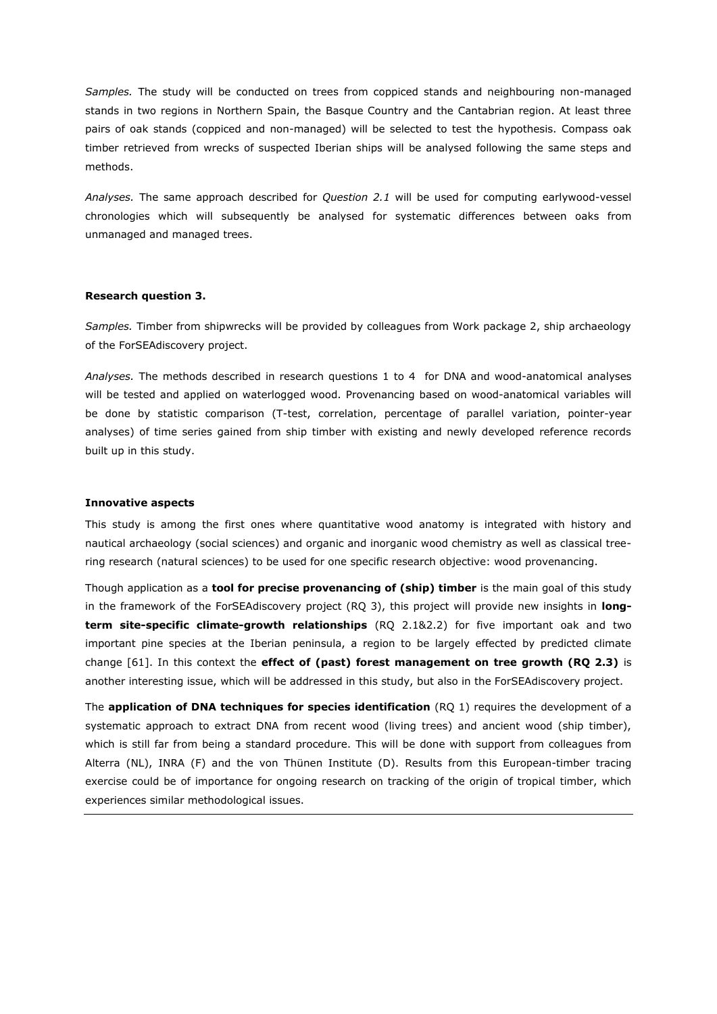*Samples.* The study will be conducted on trees from coppiced stands and neighbouring non-managed stands in two regions in Northern Spain, the Basque Country and the Cantabrian region. At least three pairs of oak stands (coppiced and non-managed) will be selected to test the hypothesis. Compass oak timber retrieved from wrecks of suspected Iberian ships will be analysed following the same steps and methods.

*Analyses.* The same approach described for *Question 2.1* will be used for computing earlywood-vessel chronologies which will subsequently be analysed for systematic differences between oaks from unmanaged and managed trees.

### **Research question 3.**

*Samples.* Timber from shipwrecks will be provided by colleagues from Work package 2, ship archaeology of the ForSEAdiscovery project.

*Analyses.* The methods described in research questions 1 to 4 for DNA and wood-anatomical analyses will be tested and applied on waterlogged wood. Provenancing based on wood-anatomical variables will be done by statistic comparison (T-test, correlation, percentage of parallel variation, pointer-year analyses) of time series gained from ship timber with existing and newly developed reference records built up in this study.

#### **Innovative aspects**

This study is among the first ones where quantitative wood anatomy is integrated with history and nautical archaeology (social sciences) and organic and inorganic wood chemistry as well as classical treering research (natural sciences) to be used for one specific research objective: wood provenancing.

Though application as a **tool for precise provenancing of (ship) timber** is the main goal of this study in the framework of the ForSEAdiscovery project (RQ 3), this project will provide new insights in **longterm site-specific climate-growth relationships** (RQ 2.1&2.2) for five important oak and two important pine species at the Iberian peninsula, a region to be largely effected by predicted climate change [61]. In this context the **effect of (past) forest management on tree growth (RQ 2.3)** is another interesting issue, which will be addressed in this study, but also in the ForSEAdiscovery project.

The **application of DNA techniques for species identification** (RQ 1) requires the development of a systematic approach to extract DNA from recent wood (living trees) and ancient wood (ship timber), which is still far from being a standard procedure. This will be done with support from colleagues from Alterra (NL), INRA (F) and the von Thünen Institute (D). Results from this European-timber tracing exercise could be of importance for ongoing research on tracking of the origin of tropical timber, which experiences similar methodological issues.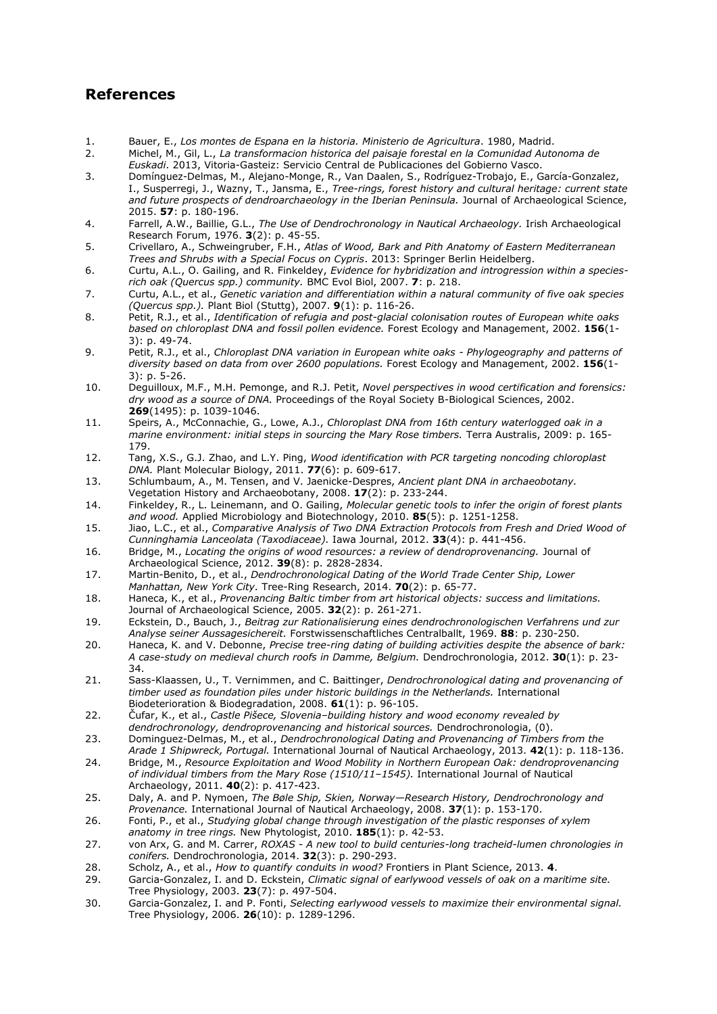# **References**

- 1. Bauer, E., *Los montes de Espana en la historia. Ministerio de Agricultura*. 1980, Madrid.
- 2. Michel, M., Gil, L., *La transformacion historica del paisaje forestal en la Comunidad Autonoma de Euskadi*. 2013, Vitoria-Gasteiz: Servicio Central de Publicaciones del Gobierno Vasco.
- 3. Domínguez-Delmas, M., Alejano-Monge, R., Van Daalen, S., Rodríguez-Trobajo, E., García-Gonzalez, I., Susperregi, J., Wazny, T., Jansma, E., *Tree-rings, forest history and cultural heritage: current state and future prospects of dendroarchaeology in the Iberian Peninsula.* Journal of Archaeological Science, 2015. **57**: p. 180-196.
- 4. Farrell, A.W., Baillie, G.L., *The Use of Dendrochronology in Nautical Archaeology.* Irish Archaeological Research Forum, 1976. **3**(2): p. 45-55.
- 5. Crivellaro, A., Schweingruber, F.H., *Atlas of Wood, Bark and Pith Anatomy of Eastern Mediterranean Trees and Shrubs with a Special Focus on Cypris*. 2013: Springer Berlin Heidelberg.
- 6. Curtu, A.L., O. Gailing, and R. Finkeldey, *Evidence for hybridization and introgression within a speciesrich oak (Quercus spp.) community.* BMC Evol Biol, 2007. **7**: p. 218.
- 7. Curtu, A.L., et al., *Genetic variation and differentiation within a natural community of five oak species (Quercus spp.).* Plant Biol (Stuttg), 2007. **9**(1): p. 116-26.
- 8. Petit, R.J., et al., *Identification of refugia and post-glacial colonisation routes of European white oaks based on chloroplast DNA and fossil pollen evidence.* Forest Ecology and Management, 2002. **156**(1- 3): p. 49-74.
- 9. Petit, R.J., et al., *Chloroplast DNA variation in European white oaks - Phylogeography and patterns of diversity based on data from over 2600 populations.* Forest Ecology and Management, 2002. **156**(1- 3): p. 5-26.
- 10. Deguilloux, M.F., M.H. Pemonge, and R.J. Petit, *Novel perspectives in wood certification and forensics: dry wood as a source of DNA.* Proceedings of the Royal Society B-Biological Sciences, 2002. **269**(1495): p. 1039-1046.
- 11. Speirs, A., McConnachie, G., Lowe, A.J., *Chloroplast DNA from 16th century waterlogged oak in a marine environment: initial steps in sourcing the Mary Rose timbers.* Terra Australis, 2009: p. 165- 179.
- 12. Tang, X.S., G.J. Zhao, and L.Y. Ping, *Wood identification with PCR targeting noncoding chloroplast DNA.* Plant Molecular Biology, 2011. **77**(6): p. 609-617.
- 13. Schlumbaum, A., M. Tensen, and V. Jaenicke-Despres, *Ancient plant DNA in archaeobotany.* Vegetation History and Archaeobotany, 2008. **17**(2): p. 233-244.
- 14. Finkeldey, R., L. Leinemann, and O. Gailing, *Molecular genetic tools to infer the origin of forest plants and wood.* Applied Microbiology and Biotechnology, 2010. **85**(5): p. 1251-1258.
- 15. Jiao, L.C., et al., *Comparative Analysis of Two DNA Extraction Protocols from Fresh and Dried Wood of Cunninghamia Lanceolata (Taxodiaceae).* Iawa Journal, 2012. **33**(4): p. 441-456.
- 16. Bridge, M., *Locating the origins of wood resources: a review of dendroprovenancing.* Journal of Archaeological Science, 2012. **39**(8): p. 2828-2834.
- 17. Martin-Benito, D., et al., *Dendrochronological Dating of the World Trade Center Ship, Lower Manhattan, New York City.* Tree-Ring Research, 2014. **70**(2): p. 65-77.
- 18. Haneca, K., et al., *Provenancing Baltic timber from art historical objects: success and limitations.* Journal of Archaeological Science, 2005. **32**(2): p. 261-271.
- 19. Eckstein, D., Bauch, J., *Beitrag zur Rationalisierung eines dendrochronologischen Verfahrens und zur Analyse seiner Aussagesichereit.* Forstwissenschaftliches Centralballt, 1969. **88**: p. 230-250.
- 20. Haneca, K. and V. Debonne, *Precise tree-ring dating of building activities despite the absence of bark: A case-study on medieval church roofs in Damme, Belgium.* Dendrochronologia, 2012. **30**(1): p. 23- 34.
- 21. Sass-Klaassen, U., T. Vernimmen, and C. Baittinger, *Dendrochronological dating and provenancing of timber used as foundation piles under historic buildings in the Netherlands.* International Biodeterioration & Biodegradation, 2008. **61**(1): p. 96-105.
- 22. Čufar, K., et al., *Castle Pišece, Slovenia–building history and wood economy revealed by dendrochronology, dendroprovenancing and historical sources.* Dendrochronologia, (0).
- 23. Dominguez-Delmas, M., et al., *Dendrochronological Dating and Provenancing of Timbers from the Arade 1 Shipwreck, Portugal.* International Journal of Nautical Archaeology, 2013. **42**(1): p. 118-136.
- 24. Bridge, M., *Resource Exploitation and Wood Mobility in Northern European Oak: dendroprovenancing of individual timbers from the Mary Rose (1510/11–1545).* International Journal of Nautical Archaeology, 2011. **40**(2): p. 417-423.
- 25. Daly, A. and P. Nymoen, *The Bøle Ship, Skien, Norway—Research History, Dendrochronology and Provenance.* International Journal of Nautical Archaeology, 2008. **37**(1): p. 153-170.
- 26. Fonti, P., et al., *Studying global change through investigation of the plastic responses of xylem anatomy in tree rings.* New Phytologist, 2010. **185**(1): p. 42-53.
- 27. von Arx, G. and M. Carrer, *ROXAS - A new tool to build centuries-long tracheid-lumen chronologies in conifers.* Dendrochronologia, 2014. **32**(3): p. 290-293.
- 28. Scholz, A., et al., *How to quantify conduits in wood?* Frontiers in Plant Science, 2013. **4**.
- 29. Garcia-Gonzalez, I. and D. Eckstein, *Climatic signal of earlywood vessels of oak on a maritime site.* Tree Physiology, 2003. **23**(7): p. 497-504.
- 30. Garcia-Gonzalez, I. and P. Fonti, *Selecting earlywood vessels to maximize their environmental signal.* Tree Physiology, 2006. **26**(10): p. 1289-1296.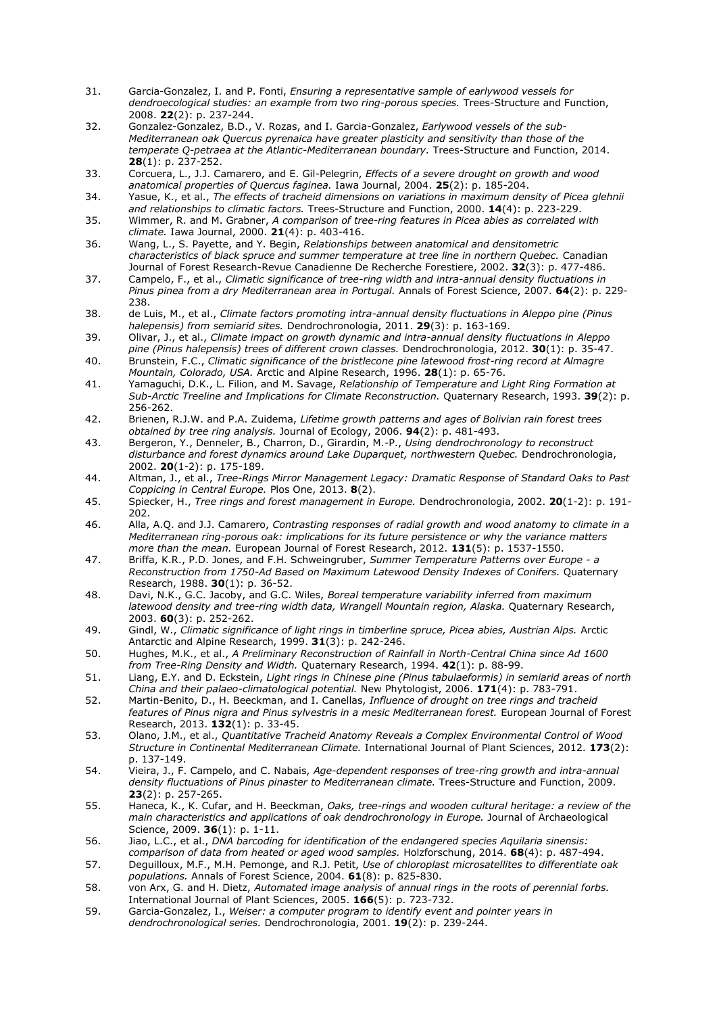- 31. Garcia-Gonzalez, I. and P. Fonti, *Ensuring a representative sample of earlywood vessels for dendroecological studies: an example from two ring-porous species.* Trees-Structure and Function, 2008. **22**(2): p. 237-244.
- 32. Gonzalez-Gonzalez, B.D., V. Rozas, and I. Garcia-Gonzalez, *Earlywood vessels of the sub-Mediterranean oak Quercus pyrenaica have greater plasticity and sensitivity than those of the temperate Q-petraea at the Atlantic-Mediterranean boundary.* Trees-Structure and Function, 2014. **28**(1): p. 237-252.
- 33. Corcuera, L., J.J. Camarero, and E. Gil-Pelegrin, *Effects of a severe drought on growth and wood anatomical properties of Quercus faginea.* Iawa Journal, 2004. **25**(2): p. 185-204.
- 34. Yasue, K., et al., *The effects of tracheid dimensions on variations in maximum density of Picea glehnii and relationships to climatic factors.* Trees-Structure and Function, 2000. **14**(4): p. 223-229.
- 35. Wimmer, R. and M. Grabner, *A comparison of tree-ring features in Picea abies as correlated with climate.* Iawa Journal, 2000. **21**(4): p. 403-416.
- 36. Wang, L., S. Payette, and Y. Begin, *Relationships between anatomical and densitometric characteristics of black spruce and summer temperature at tree line in northern Quebec.* Canadian Journal of Forest Research-Revue Canadienne De Recherche Forestiere, 2002. **32**(3): p. 477-486.
- 37. Campelo, F., et al., *Climatic significance of tree-ring width and intra-annual density fluctuations in Pinus pinea from a dry Mediterranean area in Portugal.* Annals of Forest Science, 2007. **64**(2): p. 229- 238.
- 38. de Luis, M., et al., *Climate factors promoting intra-annual density fluctuations in Aleppo pine (Pinus halepensis) from semiarid sites.* Dendrochronologia, 2011. **29**(3): p. 163-169.
- 39. Olivar, J., et al., *Climate impact on growth dynamic and intra-annual density fluctuations in Aleppo pine (Pinus halepensis) trees of different crown classes.* Dendrochronologia, 2012. **30**(1): p. 35-47.
- 40. Brunstein, F.C., *Climatic significance of the bristlecone pine latewood frost-ring record at Almagre Mountain, Colorado, USA.* Arctic and Alpine Research, 1996. **28**(1): p. 65-76.
- 41. Yamaguchi, D.K., L. Filion, and M. Savage, *Relationship of Temperature and Light Ring Formation at Sub-Arctic Treeline and Implications for Climate Reconstruction.* Quaternary Research, 1993. **39**(2): p. 256-262.
- 42. Brienen, R.J.W. and P.A. Zuidema, *Lifetime growth patterns and ages of Bolivian rain forest trees obtained by tree ring analysis.* Journal of Ecology, 2006. **94**(2): p. 481-493.
- 43. Bergeron, Y., Denneler, B., Charron, D., Girardin, M.-P., *Using dendrochronology to reconstruct disturbance and forest dynamics around Lake Duparquet, northwestern Quebec.* Dendrochronologia, 2002. **20**(1-2): p. 175-189.
- 44. Altman, J., et al., *Tree-Rings Mirror Management Legacy: Dramatic Response of Standard Oaks to Past Coppicing in Central Europe.* Plos One, 2013. **8**(2).
- 45. Spiecker, H., *Tree rings and forest management in Europe.* Dendrochronologia, 2002. **20**(1-2): p. 191- 202.
- 46. Alla, A.Q. and J.J. Camarero, *Contrasting responses of radial growth and wood anatomy to climate in a Mediterranean ring-porous oak: implications for its future persistence or why the variance matters more than the mean.* European Journal of Forest Research, 2012. **131**(5): p. 1537-1550.
- 47. Briffa, K.R., P.D. Jones, and F.H. Schweingruber, *Summer Temperature Patterns over Europe - a Reconstruction from 1750-Ad Based on Maximum Latewood Density Indexes of Conifers.* Quaternary Research, 1988. **30**(1): p. 36-52.
- 48. Davi, N.K., G.C. Jacoby, and G.C. Wiles, *Boreal temperature variability inferred from maximum latewood density and tree-ring width data, Wrangell Mountain region, Alaska.* Quaternary Research, 2003. **60**(3): p. 252-262.
- 49. Gindl, W., *Climatic significance of light rings in timberline spruce, Picea abies, Austrian Alps.* Arctic Antarctic and Alpine Research, 1999. **31**(3): p. 242-246.
- 50. Hughes, M.K., et al., *A Preliminary Reconstruction of Rainfall in North-Central China since Ad 1600 from Tree-Ring Density and Width.* Quaternary Research, 1994. **42**(1): p. 88-99.
- 51. Liang, E.Y. and D. Eckstein, *Light rings in Chinese pine (Pinus tabulaeformis) in semiarid areas of north China and their palaeo-climatological potential.* New Phytologist, 2006. **171**(4): p. 783-791.
- 52. Martin-Benito, D., H. Beeckman, and I. Canellas, *Influence of drought on tree rings and tracheid features of Pinus nigra and Pinus sylvestris in a mesic Mediterranean forest.* European Journal of Forest Research, 2013. **132**(1): p. 33-45.
- 53. Olano, J.M., et al., *Quantitative Tracheid Anatomy Reveals a Complex Environmental Control of Wood Structure in Continental Mediterranean Climate.* International Journal of Plant Sciences, 2012. **173**(2): p. 137-149.
- 54. Vieira, J., F. Campelo, and C. Nabais, *Age-dependent responses of tree-ring growth and intra-annual density fluctuations of Pinus pinaster to Mediterranean climate.* Trees-Structure and Function, 2009. **23**(2): p. 257-265.
- 55. Haneca, K., K. Cufar, and H. Beeckman, *Oaks, tree-rings and wooden cultural heritage: a review of the main characteristics and applications of oak dendrochronology in Europe.* Journal of Archaeological Science, 2009. **36**(1): p. 1-11.
- 56. Jiao, L.C., et al., *DNA barcoding for identification of the endangered species Aquilaria sinensis:*
- *comparison of data from heated or aged wood samples.* Holzforschung, 2014. **68**(4): p. 487-494. 57. Deguilloux, M.F., M.H. Pemonge, and R.J. Petit, *Use of chloroplast microsatellites to differentiate oak*
- *populations.* Annals of Forest Science, 2004. **61**(8): p. 825-830. 58. von Arx, G. and H. Dietz, *Automated image analysis of annual rings in the roots of perennial forbs.* International Journal of Plant Sciences, 2005. **166**(5): p. 723-732.
- 59. Garcia-Gonzalez, I., *Weiser: a computer program to identify event and pointer years in dendrochronological series.* Dendrochronologia, 2001. **19**(2): p. 239-244.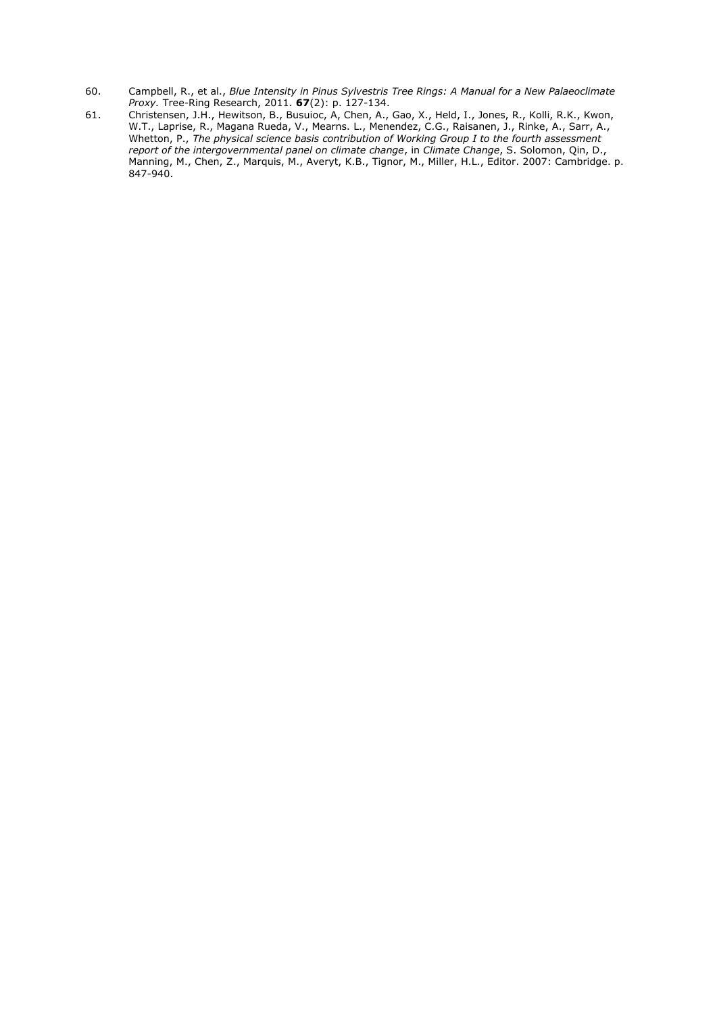- 60. Campbell, R., et al., *Blue Intensity in Pinus Sylvestris Tree Rings: A Manual for a New Palaeoclimate Proxy.* Tree-Ring Research, 2011. **67**(2): p. 127-134.
- 61. Christensen, J.H., Hewitson, B., Busuioc, A, Chen, A., Gao, X., Held, I., Jones, R., Kolli, R.K., Kwon, W.T., Laprise, R., Magana Rueda, V., Mearns. L., Menendez, C.G., Raisanen, J., Rinke, A., Sarr, A., Whetton, P., *The physical science basis contribution of Working Group I to the fourth assessment report of the intergovernmental panel on climate change*, in *Climate Change*, S. Solomon, Qin, D., Manning, M., Chen, Z., Marquis, M., Averyt, K.B., Tignor, M., Miller, H.L., Editor. 2007: Cambridge. p. 847-940.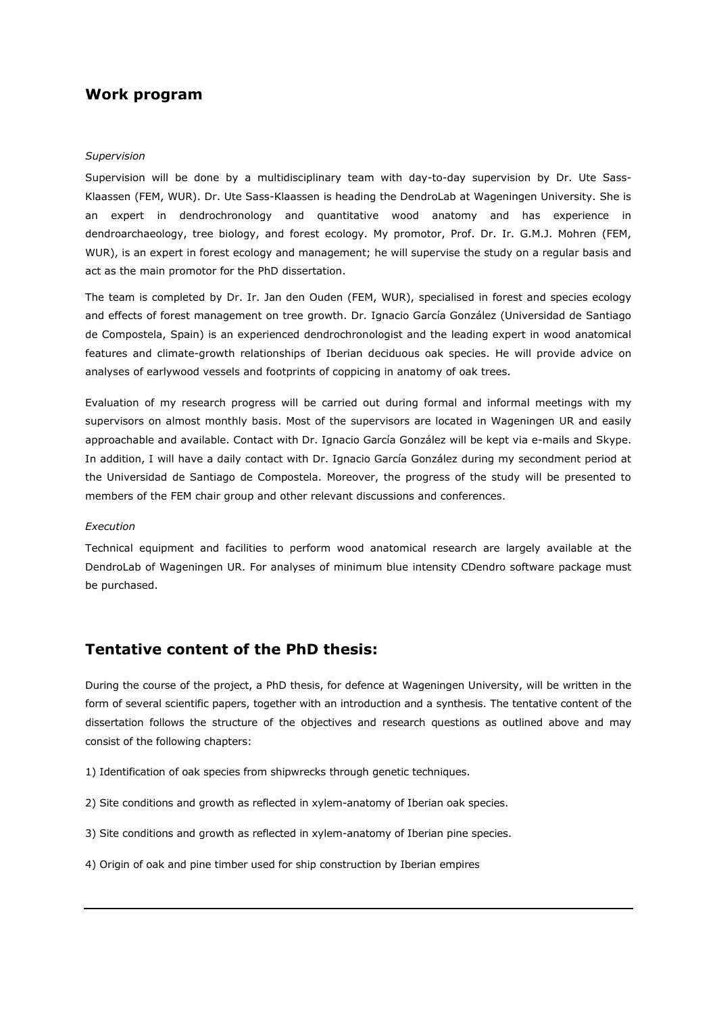# **Work program**

### *Supervision*

Supervision will be done by a multidisciplinary team with day-to-day supervision by Dr. Ute Sass-Klaassen (FEM, WUR). Dr. Ute Sass-Klaassen is heading the DendroLab at Wageningen University. She is an expert in dendrochronology and quantitative wood anatomy and has experience in dendroarchaeology, tree biology, and forest ecology. My promotor, Prof. Dr. Ir. G.M.J. Mohren (FEM, WUR), is an expert in forest ecology and management; he will supervise the study on a regular basis and act as the main promotor for the PhD dissertation.

The team is completed by Dr. Ir. Jan den Ouden (FEM, WUR), specialised in forest and species ecology and effects of forest management on tree growth. Dr. Ignacio García González (Universidad de Santiago de Compostela, Spain) is an experienced dendrochronologist and the leading expert in wood anatomical features and climate-growth relationships of Iberian deciduous oak species. He will provide advice on analyses of earlywood vessels and footprints of coppicing in anatomy of oak trees.

Evaluation of my research progress will be carried out during formal and informal meetings with my supervisors on almost monthly basis. Most of the supervisors are located in Wageningen UR and easily approachable and available. Contact with Dr. Ignacio García González will be kept via e-mails and Skype. In addition, I will have a daily contact with Dr. Ignacio García González during my secondment period at the Universidad de Santiago de Compostela. Moreover, the progress of the study will be presented to members of the FEM chair group and other relevant discussions and conferences.

#### *Execution*

Technical equipment and facilities to perform wood anatomical research are largely available at the DendroLab of Wageningen UR. For analyses of minimum blue intensity CDendro software package must be purchased.

# **Tentative content of the PhD thesis:**

During the course of the project, a PhD thesis, for defence at Wageningen University, will be written in the form of several scientific papers, together with an introduction and a synthesis. The tentative content of the dissertation follows the structure of the objectives and research questions as outlined above and may consist of the following chapters:

- 1) Identification of oak species from shipwrecks through genetic techniques.
- 2) Site conditions and growth as reflected in xylem-anatomy of Iberian oak species.
- 3) Site conditions and growth as reflected in xylem-anatomy of Iberian pine species.
- 4) Origin of oak and pine timber used for ship construction by Iberian empires